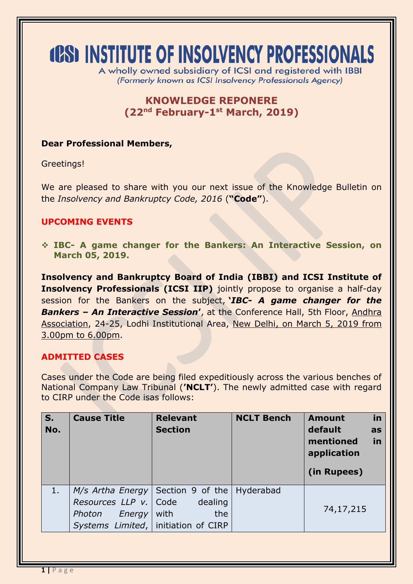# **(CS) INSTITUTE OF INSOLVENCY PROFESSIONALS**

A wholly owned subsidiary of ICSI and registered with IBBI (Formerly known as ICSI Insolvency Professionals Agency)

## **KNOWLEDGE REPONERE (22nd February-1 st March, 2019)**

#### **Dear Professional Members,**

Greetings!

We are pleased to share with you our next issue of the Knowledge Bulletin on the *Insolvency and Bankruptcy Code, 2016* (**"Code"**).

#### **UPCOMING EVENTS**

 **IBC- A game changer for the Bankers: An Interactive Session, on March 05, 2019.**

**Insolvency and Bankruptcy Board of India (IBBI) and ICSI Institute of Insolvency Professionals (ICSI IIP)** jointly propose to organise a half-day session for the Bankers on the subject, **'***IBC- A game changer for the Bankers – An Interactive Session***'**, at the Conference Hall, 5th Floor, Andhra Association, 24-25, Lodhi Institutional Area, New Delhi, on March 5, 2019 from 3.00pm to 6.00pm.

#### **ADMITTED CASES**

Cases under the Code are being filed expeditiously across the various benches of National Company Law Tribunal (**'NCLT'**). The newly admitted case with regard to CIRP under the Code isas follows:

| $S_{1}$<br>No. | <b>Cause Title</b>                                                                                  | <b>Relevant</b><br><b>Section</b>                              | <b>NCLT Bench</b> | in<br><b>Amount</b><br>default<br>as<br>in<br>mentioned<br>application<br>(in Rupees) |
|----------------|-----------------------------------------------------------------------------------------------------|----------------------------------------------------------------|-------------------|---------------------------------------------------------------------------------------|
| 1.             | $M/s$ Artha Energy<br>Resources LLP v.<br>Photon<br>Energy<br>Systems Limited,   initiation of CIRP | Section 9 of the   Hyderabad<br>dealing<br>Code<br>with<br>the |                   | 74,17,215                                                                             |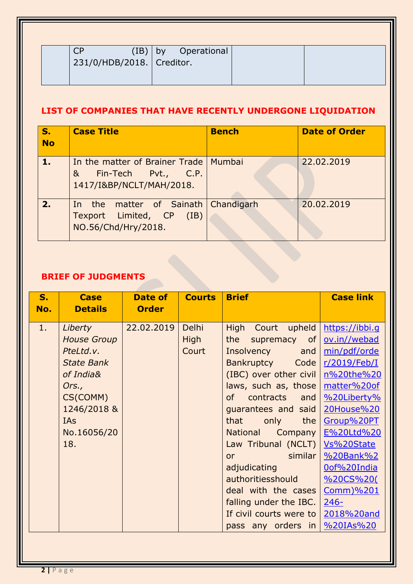| (IB)                        | by Operational |
|-----------------------------|----------------|
| 231/0/HDB/2018.   Creditor. |                |
|                             |                |

# **LIST OF COMPANIES THAT HAVE RECENTLY UNDERGONE LIQUIDATION**

| $S_{1}$<br><b>No</b> | <b>Case Title</b>                                                                                            | <b>Bench</b> | <b>Date of Order</b> |
|----------------------|--------------------------------------------------------------------------------------------------------------|--------------|----------------------|
| 1.7                  | In the matter of Brainer Trade   Mumbai<br>Fin-Tech Pvt., C.P.<br>8 <sub>k</sub><br>1417/I&BP/NCLT/MAH/2018. |              | 22.02.2019           |
| 2.                   | matter of Sainath Chandigarh<br>In the<br>Texport Limited, CP (IB)<br>NO.56/Chd/Hry/2018.                    |              | 20.02.2019           |

### **BRIEF OF JUDGMENTS**

| S <sub>r</sub><br>No. | <b>Case</b><br><b>Details</b>                                                                                                                        | Date of<br><b>Order</b> | <b>Courts</b>          | <b>Brief</b>                                                                                                                                                                                                                                                                                                                                                                                                                                  | <b>Case link</b>                                                                                                                                                                                                                                                 |
|-----------------------|------------------------------------------------------------------------------------------------------------------------------------------------------|-------------------------|------------------------|-----------------------------------------------------------------------------------------------------------------------------------------------------------------------------------------------------------------------------------------------------------------------------------------------------------------------------------------------------------------------------------------------------------------------------------------------|------------------------------------------------------------------------------------------------------------------------------------------------------------------------------------------------------------------------------------------------------------------|
| 1.                    | Liberty<br><b>House Group</b><br>PteLtd.v.<br><b>State Bank</b><br>of India&<br>Ors.,<br>CS(COMM)<br>1246/2018 &<br><b>IAs</b><br>No.16056/20<br>18. | 22.02.2019              | Delhi<br>High<br>Court | High Court upheld<br>the<br>supremacy of<br>Insolvency and<br>Bankruptcy Code<br>(IBC) over other civil<br>laws, such as, those<br>contracts and<br><b>of</b><br>guarantees and said<br>that<br>only<br>the<br><b>National</b><br>Company<br>Law Tribunal (NCLT)<br><u>in the similar</u><br><b>or</b><br>adjudicating<br>authoritiesshould<br>deal with the cases<br>falling under the IBC.<br>If civil courts were to<br>pass any orders in | https://ibbi.q<br>ov.in//webad<br>min/pdf/orde<br>$r/2019$ /Feb/I<br>n%20the%20<br>matter%20of<br>%20Liberty%<br>20House%20<br>Group%20PT<br>E%20Ltd%20<br>Vs%20State<br>%20Bank%2<br>Oof%20India<br>%20CS%20(<br>Comm)%201<br>$246-$<br>2018%20and<br>%20IAs%20 |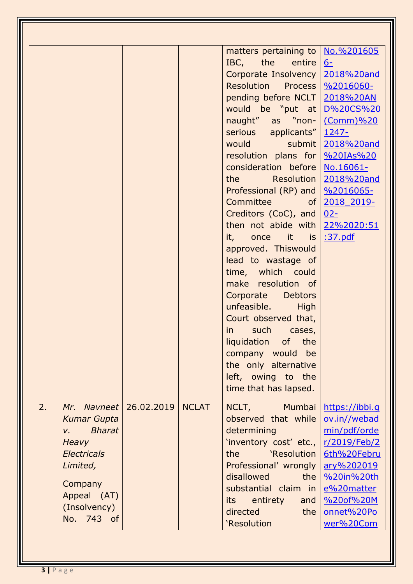|    |                              |            |              | matters pertaining to   No. %201605           |                |
|----|------------------------------|------------|--------------|-----------------------------------------------|----------------|
|    |                              |            |              | IBC, the entire                               | $6-$           |
|    |                              |            |              | Corporate Insolvency   2018%20and             |                |
|    |                              |            |              | Resolution Process   %2016060-                |                |
|    |                              |            |              | pending before NCLT   2018%20AN               |                |
|    |                              |            |              | would be "put at D%20CS%20                    |                |
|    |                              |            |              | naught" as "non- (Comm)%20                    |                |
|    |                              |            |              | serious applicants" 1247-                     |                |
|    |                              |            |              | would submit 2018%20and                       |                |
|    |                              |            |              | resolution plans for 9%20IAs%20               |                |
|    |                              |            |              | consideration before   No.16061-              |                |
|    |                              |            |              | the Resolution   2018%20and                   |                |
|    |                              |            |              | Professional (RP) and   %2016065-             |                |
|    |                              |            |              | Committee of                                  | 2018 2019-     |
|    |                              |            |              | Creditors (CoC), and                          | $02 -$         |
|    |                              |            |              | then not abide with $22\frac{20.2020:51}{20}$ |                |
|    |                              |            |              | it, once it is $\frac{37.}$                   |                |
|    |                              |            |              | approved. Thiswould                           |                |
|    |                              |            |              | lead to wastage of                            |                |
|    |                              |            |              | time, which could                             |                |
|    |                              |            |              | make resolution of                            |                |
|    |                              |            |              | Corporate Debtors                             |                |
|    |                              |            |              | unfeasible. High                              |                |
|    |                              |            |              | Court observed that,                          |                |
|    |                              |            |              | such cases,<br>$\mathsf{in}$                  |                |
|    |                              |            |              | liquidation of the                            |                |
|    |                              |            |              | company would<br>be                           |                |
|    |                              |            |              | the only alternative                          |                |
|    |                              |            |              | left, owing to the                            |                |
|    |                              |            |              | time that has lapsed.                         |                |
| 2. | Mr. Navneet                  | 26.02.2019 | <b>NCLAT</b> | NCLT, Mumbai                                  | https://ibbi.q |
|    | <b>Kumar Gupta</b>           |            |              | observed that while                           | ov.in//webad   |
|    | <b>Bharat</b><br>$V_{\rm r}$ |            |              | determining                                   | min/pdf/orde   |
|    | Heavy                        |            |              | 'inventory cost' etc.,                        | r/2019/Feb/2   |
|    | <b>Electricals</b>           |            |              | 'Resolution<br>the                            | 6th%20Febru    |
|    | Limited,                     |            |              | Professional' wrongly                         | ary%202019     |
|    |                              |            |              | disallowed<br>the                             | %20in%20th     |
|    | Company                      |            |              | substantial claim in                          | e%20matter     |
|    | Appeal (AT)                  |            |              | entirety<br>its<br>and                        | %20of%20M      |
|    | (Insolvency)                 |            |              | directed<br>the                               | onnet%20Po     |
|    | No. 743 of                   |            |              | 'Resolution                                   | wer%20Com      |
|    |                              |            |              |                                               |                |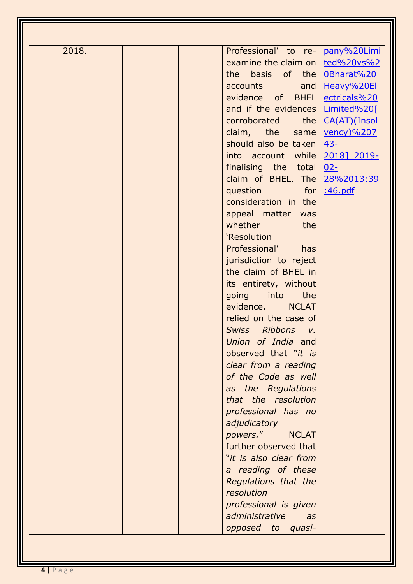| 2018. | Professional' to re-   pany%20Limi |                   |
|-------|------------------------------------|-------------------|
|       | examine the claim on               | ted%20vs%2        |
|       | the basis of the                   | 0Bharat%20        |
|       | accounts<br>and                    | Heavy%20El        |
|       | evidence of BHEL                   | ectricals%20      |
|       | and if the evidences   Limited%20[ |                   |
|       | the<br>corroborated                | CA(AT)(Insol      |
|       | claim, the same                    | <u>vency)%207</u> |
|       | should also be taken               | $43-$             |
|       | into account while                 | 2018] 2019-       |
|       | finalising the total               | $02 -$            |
|       | claim of BHEL. The                 | 28%2013:39        |
|       | question for                       | :46.pdf           |
|       | consideration in the               |                   |
|       | appeal matter was                  |                   |
|       | whether<br>the                     |                   |
|       | 'Resolution                        |                   |
|       | Professional'<br>has               |                   |
|       | jurisdiction to reject             |                   |
|       | the claim of BHEL in               |                   |
|       | its entirety, without              |                   |
|       | going into<br>the                  |                   |
|       | evidence.<br><b>NCLAT</b>          |                   |
|       | relied on the case of              |                   |
|       | Swiss Ribbons v.                   |                   |
|       | Union of India and                 |                   |
|       | observed that "it is               |                   |
|       | clear from a reading               |                   |
|       | of the Code as well                |                   |
|       | as the Regulations                 |                   |
|       | that the resolution                |                   |
|       | professional has no                |                   |
|       | adjudicatory                       |                   |
|       | powers."<br><b>NCLAT</b>           |                   |
|       | further observed that              |                   |
|       | "it is also clear from             |                   |
|       | a reading of these                 |                   |
|       | Regulations that the               |                   |
|       | resolution                         |                   |
|       | professional is given              |                   |
|       | administrative<br>as               |                   |
|       | opposed to quasi-                  |                   |
|       |                                    |                   |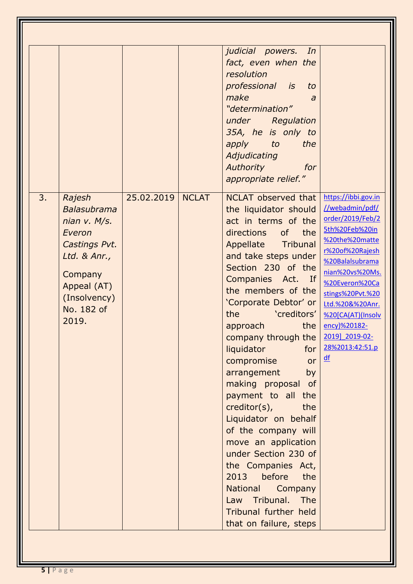|                                                                                                                                                                |            |              | judicial powers.<br>In<br>fact, even when the<br>resolution<br>professional is<br>to                                                                                                                                                                                                                                                                                                                                                                                                                                                                                                                                                                                                             |                                                                                                                                                                                                                                                                                                                |
|----------------------------------------------------------------------------------------------------------------------------------------------------------------|------------|--------------|--------------------------------------------------------------------------------------------------------------------------------------------------------------------------------------------------------------------------------------------------------------------------------------------------------------------------------------------------------------------------------------------------------------------------------------------------------------------------------------------------------------------------------------------------------------------------------------------------------------------------------------------------------------------------------------------------|----------------------------------------------------------------------------------------------------------------------------------------------------------------------------------------------------------------------------------------------------------------------------------------------------------------|
|                                                                                                                                                                |            |              | make<br>a<br>"determination"<br>under Regulation<br>35A, he is only to<br>apply to<br>the<br>Adjudicating<br><b>Authority</b><br>for<br>appropriate relief."                                                                                                                                                                                                                                                                                                                                                                                                                                                                                                                                     |                                                                                                                                                                                                                                                                                                                |
| 3.<br>Rajesh<br><b>Balasubrama</b><br>nian v. M/s.<br>Everon<br>Castings Pvt.<br>Ltd. & Anr.,<br>Company<br>Appeal (AT)<br>(Insolvency)<br>No. 182 of<br>2019. | 25.02.2019 | <b>NCLAT</b> | NCLAT observed that<br>the liquidator should<br>act in terms of the<br>of the<br>directions<br>Appellate Tribunal<br>and take steps under<br>Section 230 of the<br>Companies Act. If<br>the members of the<br>'Corporate Debtor' or<br>creditors'<br>the<br>approach<br>the<br>company through the<br>liquidator<br>for<br>compromise<br>or<br>arrangement<br>by<br>making proposal of<br>payment to all the<br>creditor(s),<br>the<br>Liquidator on behalf<br>of the company will<br>move an application<br>under Section 230 of<br>the Companies Act,<br>before<br>2013<br>the<br><b>National</b><br>Company<br>Law Tribunal.<br><b>The</b><br>Tribunal further held<br>that on failure, steps | https://ibbi.gov.in<br>//webadmin/pdf/<br>order/2019/Feb/2<br>5th%20Feb%20in<br>%20the%20matte<br>r%20of%20Rajesh<br>%20Balalsubrama<br>nian%20vs%20Ms.<br>%20Everon%20Ca<br>stings%20Pvt.%20<br>Ltd.%20&%20Anr.<br>%20[CA(AT)(Insolv<br>ency)%20182-<br>2019] 2019-02-<br>28%2013:42:51.p<br>$\underline{df}$ |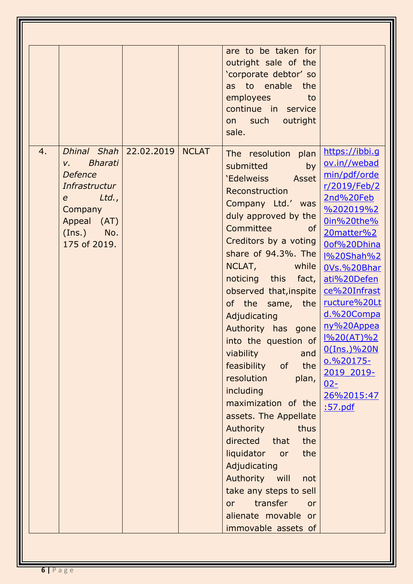|    |                                                                                                                                                                             |            |              | are to be taken for<br>outright sale of the<br>'corporate debtor' so<br>as to enable the<br>employees to<br>continue in service<br>on such outright<br>sale.                                                                                                                                                                                                                                                                                                                                                                                                                                                                                                                                                                             |                                                                                                                                                                                                                                                                                                                                             |
|----|-----------------------------------------------------------------------------------------------------------------------------------------------------------------------------|------------|--------------|------------------------------------------------------------------------------------------------------------------------------------------------------------------------------------------------------------------------------------------------------------------------------------------------------------------------------------------------------------------------------------------------------------------------------------------------------------------------------------------------------------------------------------------------------------------------------------------------------------------------------------------------------------------------------------------------------------------------------------------|---------------------------------------------------------------------------------------------------------------------------------------------------------------------------------------------------------------------------------------------------------------------------------------------------------------------------------------------|
| 4. | Dhinal Shah<br><b>Bharati</b><br>$V_{\rm r}$<br><b>Defence</b><br><b>Infrastructur</b><br>$Ltd.$ ,<br>$e$ and $e$<br>Company<br>Appeal (AT)<br>$(Ins.)$ No.<br>175 of 2019. | 22.02.2019 | <b>NCLAT</b> | The resolution plan<br>submitted<br>by<br>'Edelweiss Asset<br>Reconstruction<br>Company Ltd.' was<br>duly approved by the<br>Committee<br><b>of</b><br>Creditors by a voting<br>share of 94.3%. The<br>NCLAT, while<br>noticing this fact,<br>observed that, inspite<br>of the same, the<br>Adjudicating<br>Authority has gone<br>into the question of $\frac{1\%20(AT)\%2}{2}$<br>viability<br>and<br>feasibility of<br>the<br>resolution<br>plan,<br>including<br>maximization of the<br>assets. The Appellate<br>Authority<br>thus<br>directed that<br>the<br>liquidator<br>the<br>or<br>Adjudicating<br>Authority will<br>not<br>take any steps to sell<br>transfer<br><b>or</b><br>or<br>alienate movable or<br>immovable assets of | https://ibbi.g<br>ov.in//webad<br>min/pdf/orde<br>r/2019/Feb/2<br>2nd%20Feb<br>%202019%2<br>0in%20the%<br>20matter%2<br>Oof%20Dhina<br><u>I%20Shah%2</u><br>0Vs.%20Bhar<br>ati%20Defen<br>ce%20Infrast<br>ructure%20Lt<br>d.%20Compa<br>ny%20Appea<br>$0$ (Ins.)%20N<br>$0.%20175-$<br>2019 2019-<br>$02 -$<br>26%2015:47<br><u>:57.pdf</u> |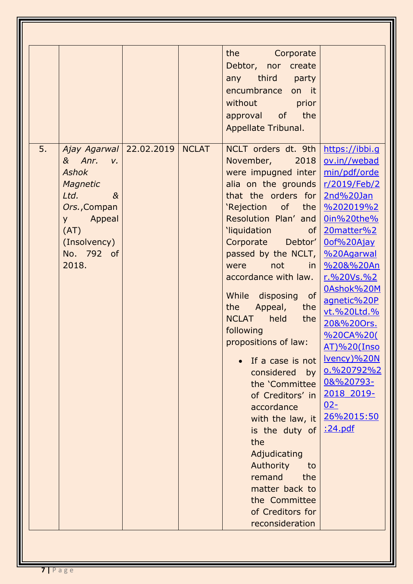| 5. | Ajay Agarwal   22.02.2019   NCLAT                                                                                                    |  | the the state of the state of the state of the state of the state of the state of the state of the state of the<br>Corporate<br>Debtor, nor create<br>any third party<br>encumbrance on it<br>without prior<br>approval of the<br>Appellate Tribunal.<br>NCLT orders dt. 9th                                                                                                                                                                                                                                                                                                                                                                               |                                                                                                                                                                                                                                                                                                                                                                                   |
|----|--------------------------------------------------------------------------------------------------------------------------------------|--|------------------------------------------------------------------------------------------------------------------------------------------------------------------------------------------------------------------------------------------------------------------------------------------------------------------------------------------------------------------------------------------------------------------------------------------------------------------------------------------------------------------------------------------------------------------------------------------------------------------------------------------------------------|-----------------------------------------------------------------------------------------------------------------------------------------------------------------------------------------------------------------------------------------------------------------------------------------------------------------------------------------------------------------------------------|
|    | & Anr. v.<br><b>Ashok</b><br>Magnetic<br>Ltd.<br>$\alpha$<br>Ors., Compan<br>y Appeal<br>(AT)<br>(Insolvency)<br>No. 792 of<br>2018. |  | November, 2018<br>were impugned inter<br>alia on the grounds<br>that the orders for<br>'Rejection of the<br>Resolution Plan' and<br><b>I</b> iquidation<br><b>of</b><br>Corporate Debtor'<br>passed by the NCLT,<br>not<br>in<br>were<br>accordance with law.<br>of<br>While disposing<br>the<br>Appeal,<br>the<br><b>NCLAT</b><br>held<br>the<br>following<br>propositions of law:<br>If a case is not<br>considered<br>by<br>the 'Committee<br>of Creditors' in<br>accordance<br>with the law, it<br>is the duty of<br>the<br>Adjudicating<br>Authority<br>to<br>remand<br>the<br>matter back to<br>the Committee<br>of Creditors for<br>reconsideration | https://ibbi.q<br>ov.in//webad<br>min/pdf/orde<br>r/2019/Feb/2<br>2nd%20Jan<br>$\frac{96202019\%2}{2}$<br><u>0in%20the%</u><br>20matter%2<br>Oof%20Ajay<br>%20Agarwal<br>%20&%20An<br>r.%20Vs.%2<br>0Ashok%20M<br>agnetic%20P<br>vt.%20Ltd.%<br>20&%20Ors.<br>%20CA%20(<br>AT)%20(Inso<br>Ivency)%20N<br>0.%20792%2<br>08%20793-<br>2018 2019-<br>$02 -$<br>26%2015:50<br>:24.pdf |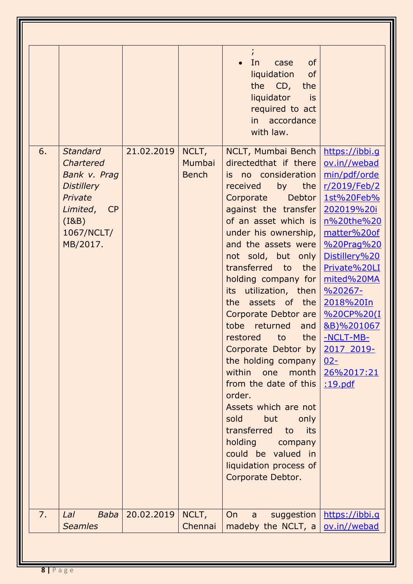|    |                                                                                                                                |            |                                 | In<br><b>of</b><br>case<br>liquidation<br><b>of</b><br>the CD,<br>the<br>liquidator<br>is is<br>required to act<br>in accordance<br>with law.                                                                                                                                                                                                                                                                                                                                                                                                                                                                                                                                 |                                                                                                                                                                                                                                                                                                                     |
|----|--------------------------------------------------------------------------------------------------------------------------------|------------|---------------------------------|-------------------------------------------------------------------------------------------------------------------------------------------------------------------------------------------------------------------------------------------------------------------------------------------------------------------------------------------------------------------------------------------------------------------------------------------------------------------------------------------------------------------------------------------------------------------------------------------------------------------------------------------------------------------------------|---------------------------------------------------------------------------------------------------------------------------------------------------------------------------------------------------------------------------------------------------------------------------------------------------------------------|
| 6. | <b>Standard</b><br>Chartered<br>Bank v. Prag<br><b>Distillery</b><br>Private<br>Limited, CP<br>(18B)<br>1067/NCLT/<br>MB/2017. | 21.02.2019 | NCLT,<br>Mumbai<br><b>Bench</b> | NCLT, Mumbai Bench<br>directedthat if there<br>is no consideration<br>by<br>received<br>the<br>Corporate<br>Debtor<br>against the transfer<br>of an asset which is<br>under his ownership,<br>and the assets were<br>not sold, but only<br>transferred to<br>the<br>holding company for<br>its utilization, then<br>the assets of the<br>Corporate Debtor are<br>tobe returned<br>and<br>restored to the<br>Corporate Debtor by<br>the holding company<br>within one month<br>from the date of this<br>order.<br>Assets which are not<br>but<br>sold<br>only<br>transferred to<br>its<br>holding company<br>could be valued in<br>liquidation process of<br>Corporate Debtor. | https://ibbi.g<br>ov.in//webad<br>min/pdf/orde<br>r/2019/Feb/2<br>1st%20Feb%<br>202019%20i<br>n%20the%20<br>matter%20of<br>%20Prag%20<br>Distillery%20<br>Private%20LI<br>mited%20MA<br>$\frac{9}{6}$ 20267-<br>2018%20In<br>%20CP%20(I<br>&B)%201067<br>-NCLT-MB-<br>2017 2019-<br>$02 -$<br>26%2017:21<br>:19.pdf |
| 7. | Lal<br><b>Baba</b><br><b>Seamles</b>                                                                                           | 20.02.2019 | NCLT,<br>Chennai                | On<br>suggestion<br>$\mathsf{a}$<br>madeby the NCLT, $a \mid$                                                                                                                                                                                                                                                                                                                                                                                                                                                                                                                                                                                                                 | https://ibbi.q<br>ov.in//webad                                                                                                                                                                                                                                                                                      |